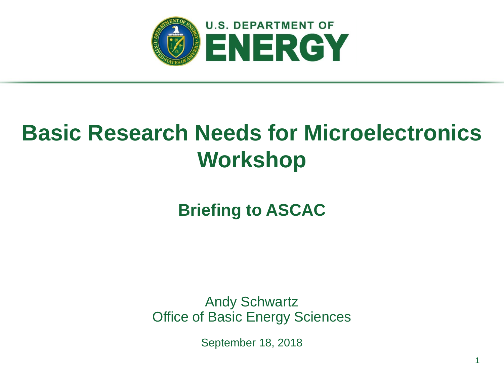

# **Basic Research Needs for Microelectronics Workshop**

**Briefing to ASCAC**

Andy Schwartz Office of Basic Energy Sciences

September 18, 2018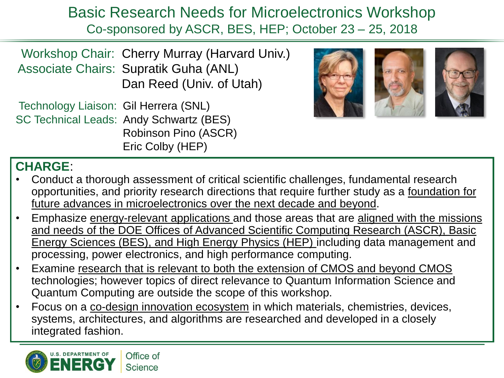Basic Research Needs for Microelectronics Workshop Co-sponsored by ASCR, BES, HEP; October 23 – 25, 2018

Workshop Chair: Cherry Murray (Harvard Univ.) Associate Chairs: Supratik Guha (ANL) Dan Reed (Univ. of Utah)

Technology Liaison: Gil Herrera (SNL) SC Technical Leads: Andy Schwartz (BES) Robinson Pino (ASCR) Eric Colby (HEP)



#### **CHARGE**:

- Conduct a thorough assessment of critical scientific challenges, fundamental research opportunities, and priority research directions that require further study as a foundation for future advances in microelectronics over the next decade and beyond.
- Emphasize energy-relevant applications and those areas that are aligned with the missions and needs of the DOE Offices of Advanced Scientific Computing Research (ASCR), Basic Energy Sciences (BES), and High Energy Physics (HEP) including data management and processing, power electronics, and high performance computing.
- Examine research that is relevant to both the extension of CMOS and beyond CMOS technologies; however topics of direct relevance to Quantum Information Science and Quantum Computing are outside the scope of this workshop.
- Focus on a co-design innovation ecosystem in which materials, chemistries, devices, systems, architectures, and algorithms are researched and developed in a closely integrated fashion.

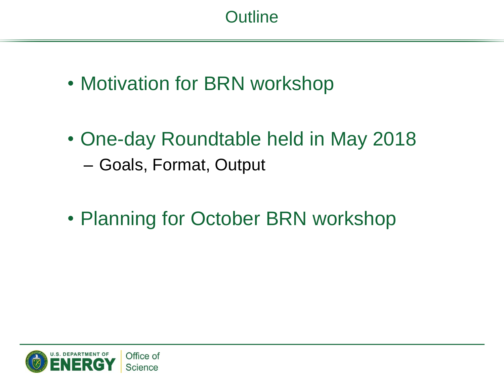- Motivation for BRN workshop
- One-day Roundtable held in May 2018 – Goals, Format, Output
- Planning for October BRN workshop

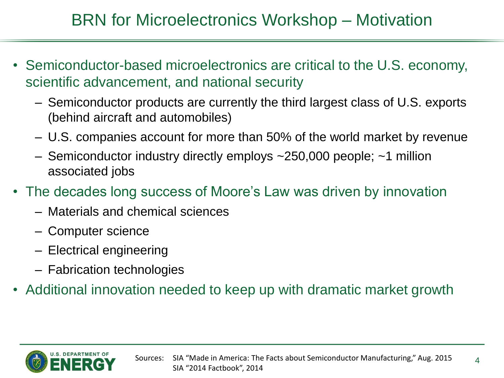- Semiconductor-based microelectronics are critical to the U.S. economy, scientific advancement, and national security
	- Semiconductor products are currently the third largest class of U.S. exports (behind aircraft and automobiles)
	- U.S. companies account for more than 50% of the world market by revenue
	- Semiconductor industry directly employs ~250,000 people; ~1 million associated jobs
- The decades long success of Moore's Law was driven by innovation
	- Materials and chemical sciences
	- Computer science
	- Electrical engineering
	- Fabrication technologies
- Additional innovation needed to keep up with dramatic market growth

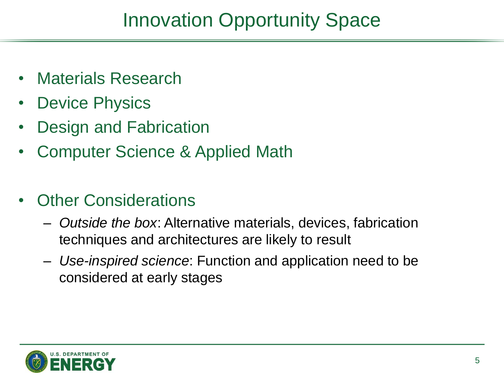## Innovation Opportunity Space

- Materials Research
- **Device Physics**
- Design and Fabrication
- Computer Science & Applied Math
- **Other Considerations** 
	- *Outside the box*: Alternative materials, devices, fabrication techniques and architectures are likely to result
	- *Use-inspired science*: Function and application need to be considered at early stages

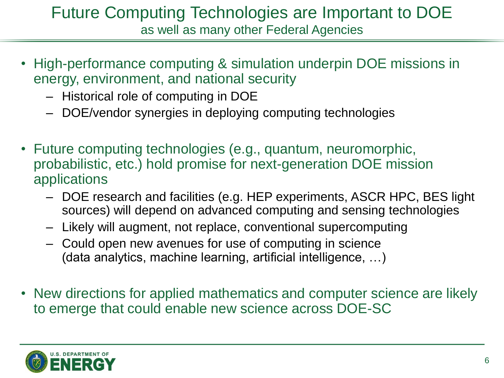#### Future Computing Technologies are Important to DOE as well as many other Federal Agencies

- High-performance computing & simulation underpin DOE missions in energy, environment, and national security
	- Historical role of computing in DOE
	- DOE/vendor synergies in deploying computing technologies
- Future computing technologies (e.g., quantum, neuromorphic, probabilistic, etc.) hold promise for next-generation DOE mission applications
	- DOE research and facilities (e.g. HEP experiments, ASCR HPC, BES light sources) will depend on advanced computing and sensing technologies
	- Likely will augment, not replace, conventional supercomputing
	- Could open new avenues for use of computing in science (data analytics, machine learning, artificial intelligence, …)
- New directions for applied mathematics and computer science are likely to emerge that could enable new science across DOE-SC

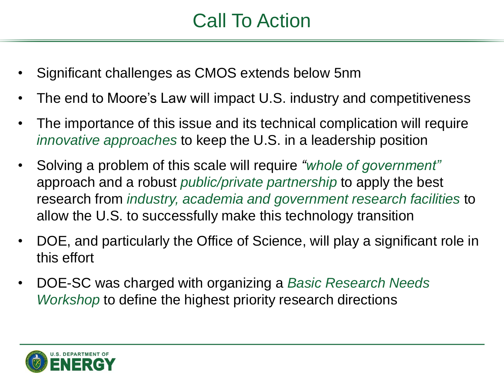## Call To Action

- Significant challenges as CMOS extends below 5nm
- The end to Moore's Law will impact U.S. industry and competitiveness
- The importance of this issue and its technical complication will require *innovative approaches* to keep the U.S. in a leadership position
- Solving a problem of this scale will require *"whole of government"*  approach and a robust *public/private partnership* to apply the best research from *industry, academia and government research facilities* to allow the U.S. to successfully make this technology transition
- DOE, and particularly the Office of Science, will play a significant role in this effort
- DOE-SC was charged with organizing a *Basic Research Needs Workshop* to define the highest priority research directions

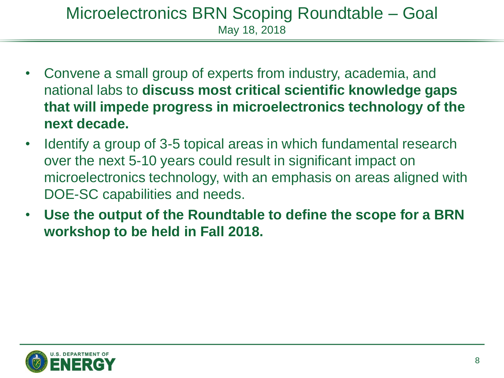#### Microelectronics BRN Scoping Roundtable – Goal May 18, 2018

- Convene a small group of experts from industry, academia, and national labs to **discuss most critical scientific knowledge gaps that will impede progress in microelectronics technology of the next decade.**
- Identify a group of 3-5 topical areas in which fundamental research over the next 5-10 years could result in significant impact on microelectronics technology, with an emphasis on areas aligned with DOE-SC capabilities and needs.
- **Use the output of the Roundtable to define the scope for a BRN workshop to be held in Fall 2018.**

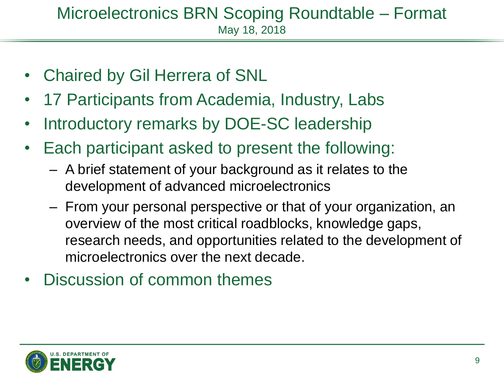#### Microelectronics BRN Scoping Roundtable – Format May 18, 2018

- Chaired by Gil Herrera of SNL
- 17 Participants from Academia, Industry, Labs
- Introductory remarks by DOE-SC leadership
- Each participant asked to present the following:
	- A brief statement of your background as it relates to the development of advanced microelectronics
	- From your personal perspective or that of your organization, an overview of the most critical roadblocks, knowledge gaps, research needs, and opportunities related to the development of microelectronics over the next decade.
- Discussion of common themes

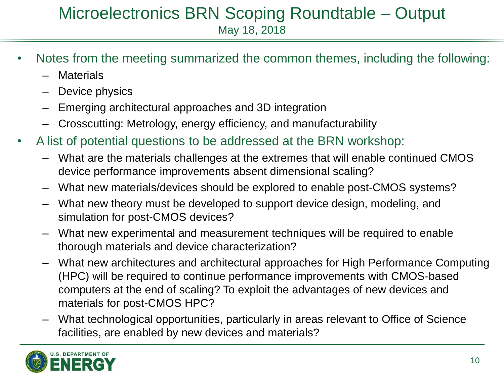#### Microelectronics BRN Scoping Roundtable – Output May 18, 2018

- Notes from the meeting summarized the common themes, including the following:
	- **Materials**
	- Device physics
	- Emerging architectural approaches and 3D integration
	- Crosscutting: Metrology, energy efficiency, and manufacturability
- A list of potential questions to be addressed at the BRN workshop:
	- What are the materials challenges at the extremes that will enable continued CMOS device performance improvements absent dimensional scaling?
	- What new materials/devices should be explored to enable post-CMOS systems?
	- What new theory must be developed to support device design, modeling, and simulation for post-CMOS devices?
	- What new experimental and measurement techniques will be required to enable thorough materials and device characterization?
	- What new architectures and architectural approaches for High Performance Computing (HPC) will be required to continue performance improvements with CMOS-based computers at the end of scaling? To exploit the advantages of new devices and materials for post-CMOS HPC?
	- What technological opportunities, particularly in areas relevant to Office of Science facilities, are enabled by new devices and materials?

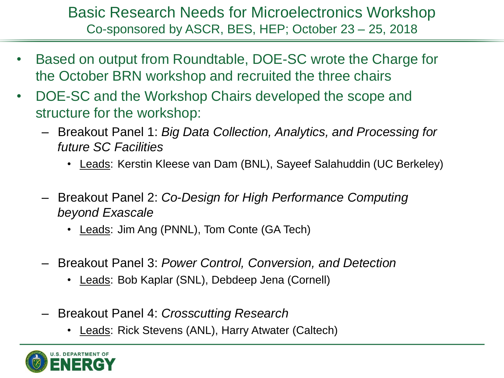#### Basic Research Needs for Microelectronics Workshop Co-sponsored by ASCR, BES, HEP; October 23 – 25, 2018

- Based on output from Roundtable, DOE-SC wrote the Charge for the October BRN workshop and recruited the three chairs
- DOE-SC and the Workshop Chairs developed the scope and structure for the workshop:
	- Breakout Panel 1: *Big Data Collection, Analytics, and Processing for future SC Facilities*
		- Leads: Kerstin Kleese van Dam (BNL), Sayeef Salahuddin (UC Berkeley)
	- Breakout Panel 2: *Co-Design for High Performance Computing beyond Exascale*
		- Leads: Jim Ang (PNNL), Tom Conte (GA Tech)
	- Breakout Panel 3: *Power Control, Conversion, and Detection*
		- Leads: Bob Kaplar (SNL), Debdeep Jena (Cornell)
	- Breakout Panel 4: *Crosscutting Research*
		- Leads: Rick Stevens (ANL), Harry Atwater (Caltech)